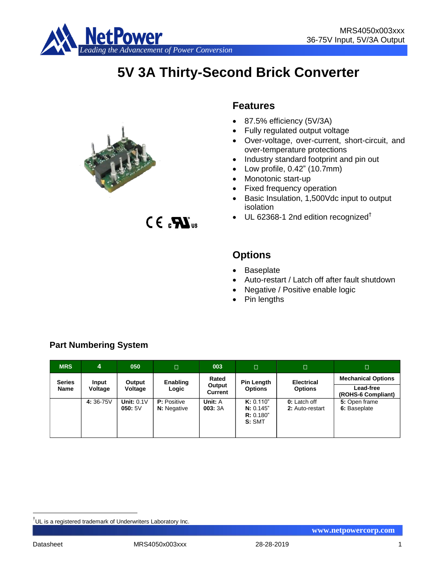

# **5V 3A Thirty-Second Brick Converter**



 $C \in \mathbf{R}$ <sub>us</sub>

**Features**

- 87.5% efficiency (5V/3A)
- Fully regulated output voltage
- Over-voltage, over-current, short-circuit, and over-temperature protections
- Industry standard footprint and pin out
- Low profile, 0.42" (10.7mm)
- Monotonic start-up
- Fixed frequency operation
- Basic Insulation, 1,500Vdc input to output isolation
- $\bullet$  UL 62368-1 2nd edition recognized<sup>†</sup>

## **Options**

- Baseplate
- Auto-restart / Latch off after fault shutdown
- Negative / Positive enable logic
- Pin lengths
- **MRS 4 050 003 Series Name Input Voltage Output Voltage Enabling Logic Rated Output Current Pin Length Options Electrical Options Mechanical Options Lead-free (ROHS-6 Compliant) 4:** 36-75V **Unit:** 0.1V **050:** 5V **P:** Positive **N:** Negative **Unit:** A **003:** 3A **K:** 0.110" **N:** 0.145" **R:** 0.180" **S:** SMT **0:** Latch off **2:** Auto-restart **5:** Open frame **6:** Baseplate

## **Part Numbering System**

1

<sup>&</sup>lt;sup>†</sup>UL is a registered trademark of Underwriters Laboratory Inc.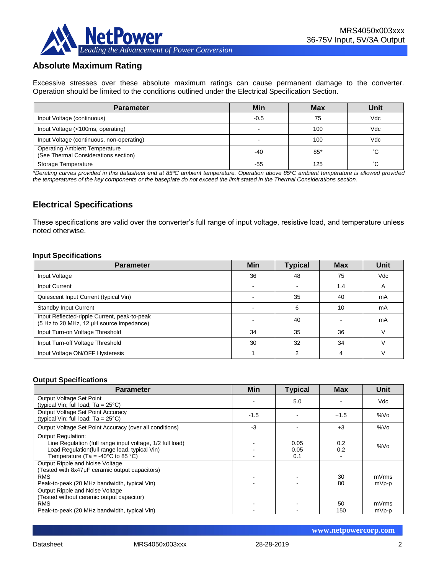## **Absolute Maximum Rating**

Excessive stresses over these absolute maximum ratings can cause permanent damage to the converter. Operation should be limited to the conditions outlined under the Electrical Specification Section.

| <b>Parameter</b>                                                             | Min    | <b>Max</b> | Unit                |
|------------------------------------------------------------------------------|--------|------------|---------------------|
| Input Voltage (continuous)                                                   | $-0.5$ | 75         | Vdc                 |
| Input Voltage (<100ms, operating)                                            |        | 100        | Vdc                 |
| Input Voltage (continuous, non-operating)                                    | -      | 100        | Vdc                 |
| <b>Operating Ambient Temperature</b><br>(See Thermal Considerations section) | -40    | $85*$      | °С                  |
| Storage Temperature                                                          | -55    | 125        | $\hat{\phantom{a}}$ |

*\*Derating curves provided in this datasheet end at 85ºC ambient temperature. Operation above 85ºC ambient temperature is allowed provided the temperatures of the key components or the baseplate do not exceed the limit stated in the Thermal Considerations section.*

## **Electrical Specifications**

These specifications are valid over the converter's full range of input voltage, resistive load, and temperature unless noted otherwise.

#### **Input Specifications**

| <b>Parameter</b>                                                                         | <b>Min</b> | <b>Typical</b> | <b>Max</b> | Unit |
|------------------------------------------------------------------------------------------|------------|----------------|------------|------|
| Input Voltage                                                                            | 36         | 48             | 75         | Vdc  |
| <b>Input Current</b>                                                                     |            |                | 1.4        | A    |
| Quiescent Input Current (typical Vin)                                                    |            | 35             | 40         | mA   |
| <b>Standby Input Current</b>                                                             |            | 6              | 10         | mA   |
| Input Reflected-ripple Current, peak-to-peak<br>(5 Hz to 20 MHz, 12 µH source impedance) | $\sim$     | 40             |            | mA   |
| Input Turn-on Voltage Threshold                                                          | 34         | 35             | 36         |      |
| Input Turn-off Voltage Threshold                                                         | 30         | 32             | 34         |      |
| Input Voltage ON/OFF Hysteresis                                                          |            | ◠              | 4          |      |

#### **Output Specifications**

| <b>Parameter</b>                                                                   | Min            | <b>Typical</b> | <b>Max</b> | Unit    |
|------------------------------------------------------------------------------------|----------------|----------------|------------|---------|
| Output Voltage Set Point                                                           |                | 5.0            |            | Vdc     |
| (typical Vin; full load; $Ta = 25^{\circ}C$ )<br>Output Voltage Set Point Accuracy |                |                |            |         |
| (typical Vin; full load; $Ta = 25^{\circ}C$ )                                      | $-1.5$         |                | $+1.5$     | %Vo     |
| Output Voltage Set Point Accuracy (over all conditions)                            | -3             |                | $+3$       | %Vo     |
| <b>Output Regulation:</b>                                                          |                |                |            |         |
| Line Regulation (full range input voltage, 1/2 full load)                          |                | 0.05           | 0.2        | %Vo     |
| Load Regulation(full range load, typical Vin)                                      |                | 0.05           | 0.2        |         |
| Temperature (Ta = -40 $^{\circ}$ C to 85 $^{\circ}$ C)                             |                | 0.1            |            |         |
| Output Ripple and Noise Voltage                                                    |                |                |            |         |
| (Tested with 8x47uF ceramic output capacitors)                                     |                |                |            |         |
| <b>RMS</b>                                                                         | $\blacksquare$ |                | 30         | mVrms   |
| Peak-to-peak (20 MHz bandwidth, typical Vin)                                       |                |                | 80         | $mVp-p$ |
| Output Ripple and Noise Voltage                                                    |                |                |            |         |
| (Tested without ceramic output capacitor)                                          |                |                |            |         |
| <b>RMS</b>                                                                         | ٠              |                | 50         | mVrms   |
| Peak-to-peak (20 MHz bandwidth, typical Vin)                                       |                |                | 150        | mVp-p   |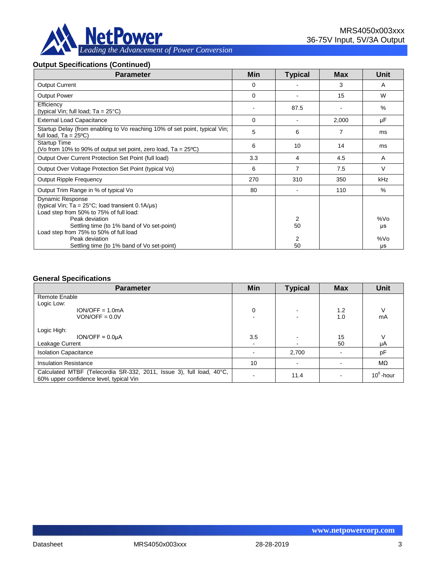

#### **Output Specifications (Continued)**

| <b>Parameter</b>                                                                                                                                                                                        | Min         | <b>Typical</b>       | Max   | <b>Unit</b> |
|---------------------------------------------------------------------------------------------------------------------------------------------------------------------------------------------------------|-------------|----------------------|-------|-------------|
| <b>Output Current</b>                                                                                                                                                                                   | $\mathbf 0$ |                      | 3     | A           |
| <b>Output Power</b>                                                                                                                                                                                     | $\Omega$    |                      | 15    | W           |
| Efficiency<br>(typical Vin; full load; $Ta = 25^{\circ}C$ )                                                                                                                                             | ۰           | 87.5                 |       | $\%$        |
| <b>External Load Capacitance</b>                                                                                                                                                                        | $\Omega$    |                      | 2,000 | μF          |
| Startup Delay (from enabling to Vo reaching 10% of set point, typical Vin;<br>full load, $Ta = 25^{\circ}C$                                                                                             | 5           | 6                    | 7     | ms          |
| <b>Startup Time</b><br>(Vo from 10% to 90% of output set point, zero load, $Ta = 25^{\circ}C$ )                                                                                                         | 6           | 10                   | 14    | ms          |
| Output Over Current Protection Set Point (full load)                                                                                                                                                    | 3.3         | 4                    | 4.5   | A           |
| Output Over Voltage Protection Set Point (typical Vo)                                                                                                                                                   | 6           | $\overline{7}$       | 7.5   | $\vee$      |
| Output Ripple Frequency                                                                                                                                                                                 | 270         | 310                  | 350   | kHz         |
| Output Trim Range in % of typical Vo                                                                                                                                                                    | 80          |                      | 110   | $\%$        |
| <b>Dynamic Response</b><br>(typical Vin; $Ta = 25^{\circ}C$ ; load transient 0.1A/ $\mu s$ )<br>Load step from 50% to 75% of full load:<br>Peak deviation<br>Settling time (to 1% band of Vo set-point) |             | 2<br>50              |       | %Vo<br>μs   |
| Load step from 75% to 50% of full load<br>Peak deviation<br>Settling time (to 1% band of Vo set-point)                                                                                                  |             | $\overline{2}$<br>50 |       | %Vo<br>μs   |

#### **General Specifications**

| <b>Parameter</b>                                                                                                | Min | <b>Typical</b> | <b>Max</b> | <b>Unit</b>  |
|-----------------------------------------------------------------------------------------------------------------|-----|----------------|------------|--------------|
| <b>Remote Enable</b>                                                                                            |     |                |            |              |
| Logic Low:                                                                                                      |     |                |            |              |
| $ION/OFF = 1.0mA$                                                                                               | 0   |                | 1.2        | ν            |
| $VON/OFF = 0.0V$                                                                                                |     |                | 1.0        | mA           |
| Logic High:                                                                                                     |     |                |            |              |
| $ION/OFF = 0.0UA$                                                                                               | 3.5 |                | 15         | V            |
| Leakage Current                                                                                                 |     |                | 50         | μA           |
| <b>Isolation Capacitance</b>                                                                                    |     | 2,700          |            | pF           |
| <b>Insulation Resistance</b>                                                                                    | 10  |                |            | $M\Omega$    |
| Calculated MTBF (Telecordia SR-332, 2011, Issue 3), full load, 40°C,<br>60% upper confidence level, typical Vin |     | 11.4           |            | $10^6$ -hour |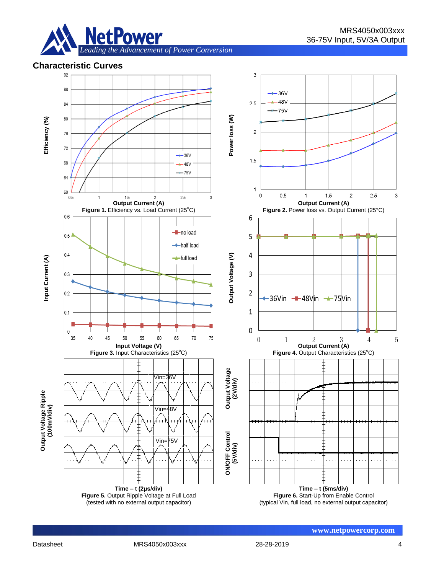

## **Characteristic Curves**

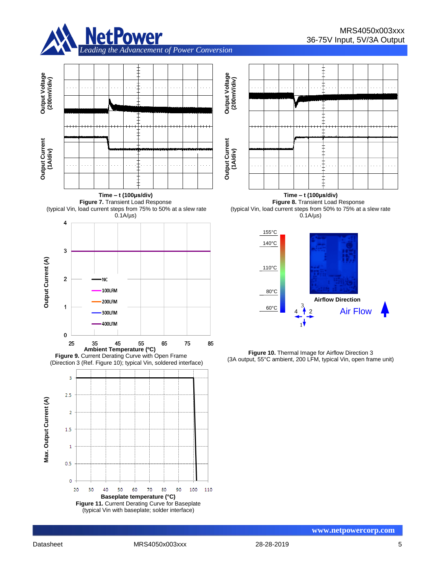

╡



**Figure 7.** Transient Load Response (typical Vin, load current steps from 75% to 50% at a slew rate **Time – t (100μs/div) Figure 8.** Transient Load Response (typical Vin, load current steps from 50% to 75% at a slew rate  $0.1A/\mu s$ 







**Time – t (100μs/div)**

 $0.1A/\mu s$ 

**www.netpowercorp.com**

80

90

100 110

**Baseplate temperature (°C) Figure 11.** Current Derating Curve for Baseplate (typical Vin with baseplate; solder interface)

 $70\,$ 

60

**Output Voltage (200mV/div)**

Output Voltage<br>(200mV/div)

**Output Current Output Current**<br>(1A/div)

4

 $1.5$ 

 $\overline{1}$ 

 $0.5$ 

 $\overline{0}$ 20

30

40

50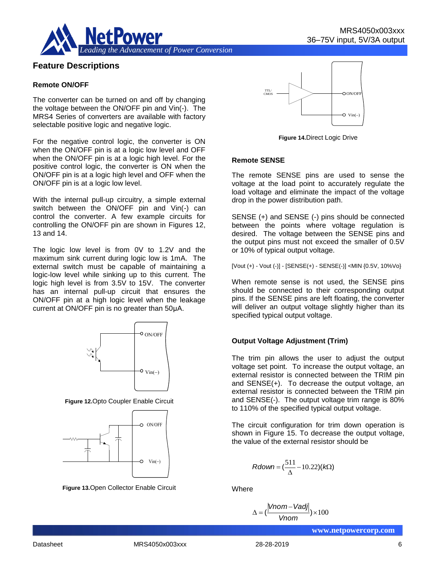

## **Feature Descriptions**

#### **Remote ON/OFF**

The converter can be turned on and off by changing the voltage between the ON/OFF pin and Vin(-). The MRS4 Series of converters are available with factory selectable positive logic and negative logic.

For the negative control logic, the converter is ON when the ON/OFF pin is at a logic low level and OFF when the ON/OFF pin is at a logic high level. For the positive control logic, the converter is ON when the ON/OFF pin is at a logic high level and OFF when the ON/OFF pin is at a logic low level.

With the internal pull-up circuitry, a simple external switch between the ON/OFF pin and Vin(-) can control the converter. A few example circuits for controlling the ON/OFF pin are shown in Figures 12, 13 and 14.

The logic low level is from 0V to 1.2V and the maximum sink current during logic low is 1mA. The external switch must be capable of maintaining a logic-low level while sinking up to this current. The logic high level is from 3.5V to 15V. The converter has an internal pull-up circuit that ensures the ON/OFF pin at a high logic level when the leakage current at ON/OFF pin is no greater than 50μA.



**Figure 12.**Opto Coupler Enable Circuit



**Figure 13.**Open Collector Enable Circuit



**Figure 14.**Direct Logic Drive

#### **Remote SENSE**

The remote SENSE pins are used to sense the voltage at the load point to accurately regulate the load voltage and eliminate the impact of the voltage drop in the power distribution path.

SENSE (+) and SENSE (-) pins should be connected between the points where voltage regulation is desired. The voltage between the SENSE pins and the output pins must not exceed the smaller of 0.5V or 10% of typical output voltage.

[Vout (+) - Vout (-)] - [SENSE(+) - SENSE(-)] <MIN {0.5V, 10%Vo}

When remote sense is not used, the SENSE pins should be connected to their corresponding output pins. If the SENSE pins are left floating, the converter will deliver an output voltage slightly higher than its specified typical output voltage.

#### **Output Voltage Adjustment (Trim)**

The trim pin allows the user to adjust the output voltage set point. To increase the output voltage, an external resistor is connected between the TRIM pin and SENSE(+). To decrease the output voltage, an external resistor is connected between the TRIM pin and SENSE(-). The output voltage trim range is 80% to 110% of the specified typical output voltage.  $\begin{array}{r} \begin{array}{r} \text{Vin} \ \end{array} \ \end{array}$ <br>
Vin(-)<br>
Vin(-)<br>
Vin(-)<br>
Vin(-)<br> **Dutput Voltage Adjust**<br>
The trim pin allows the voltage set point. To in<br>
external resistor is contrained and SENSE(+). To dee<br>
external resistor is con

The circuit configuration for trim down operation is shown in Figure 15. To decrease the output voltage, the value of the external resistor should be

$$
Rdown = (\frac{511}{\Delta} - 10.22)(k\Omega)
$$

**Where** 

$$
\Delta = (\frac{|Vnom - Vadj|}{Vnom}) \times 100
$$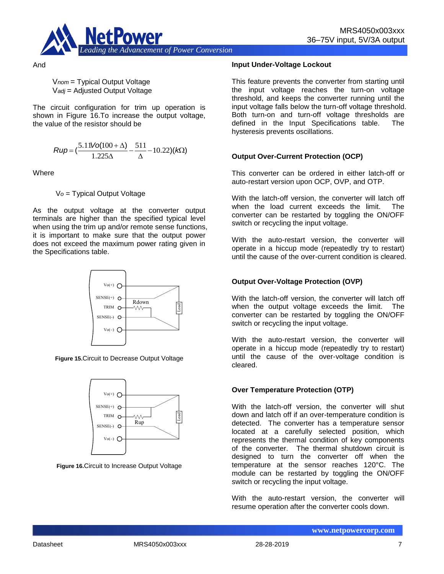

And

V*nom* = Typical Output Voltage V*adj* = Adjusted Output Voltage

The circuit configuration for trim up operation is shown in Figure 16.To increase the output voltage, the value of the resistor should be

$$
Rup = \left(\frac{5.11\text{Vol}(100 + \Delta)}{1.225\Delta} - \frac{511}{\Delta} - 10.22\right)(k\Omega)
$$

**Where** 

V*o* = Typical Output Voltage

As the output voltage at the converter output terminals are higher than the specified typical level when using the trim up and/or remote sense functions, it is important to make sure that the output power does not exceed the maximum power rating given in the Specifications table.



**Figure 15.**Circuit to Decrease Output Voltage



**Figure 16.**Circuit to Increase Output Voltage

#### **Input Under-Voltage Lockout**

This feature prevents the converter from starting until the input voltage reaches the turn-on voltage threshold, and keeps the converter running until the input voltage falls below the turn-off voltage threshold. Both turn-on and turn-off voltage thresholds are defined in the Input Specifications table. The hysteresis prevents oscillations.

#### **Output Over-Current Protection (OCP)**

This converter can be ordered in either latch-off or auto-restart version upon OCP, OVP, and OTP.

With the latch-off version, the converter will latch off when the load current exceeds the limit. The converter can be restarted by toggling the ON/OFF switch or recycling the input voltage.

With the auto-restart version, the converter will operate in a hiccup mode (repeatedly try to restart) until the cause of the over-current condition is cleared.

#### **Output Over-Voltage Protection (OVP)**

With the latch-off version, the converter will latch off when the output voltage exceeds the limit. The converter can be restarted by toggling the ON/OFF switch or recycling the input voltage.

With the auto-restart version, the converter will operate in a hiccup mode (repeatedly try to restart) until the cause of the over-voltage condition is cleared.

#### **Over Temperature Protection (OTP)**

With the latch-off version, the converter will shut down and latch off if an over-temperature condition is detected. The converter has a temperature sensor located at a carefully selected position, which represents the thermal condition of key components of the converter. The thermal shutdown circuit is designed to turn the converter off when the temperature at the sensor reaches 120°C. The module can be restarted by toggling the ON/OFF switch or recycling the input voltage.

With the auto-restart version, the converter will resume operation after the converter cools down.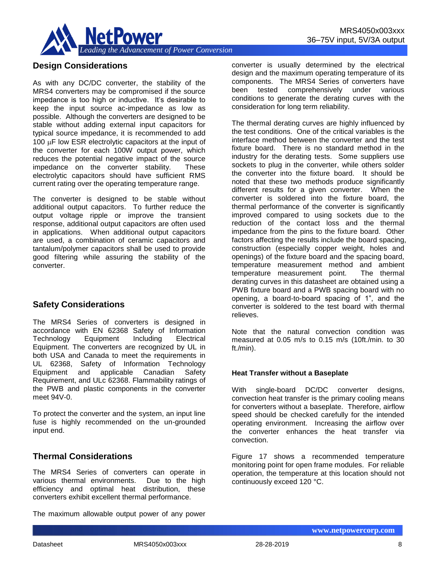

## **Design Considerations**

As with any DC/DC converter, the stability of the MRS4 converters may be compromised if the source impedance is too high or inductive. It's desirable to keep the input source ac-impedance as low as possible. Although the converters are designed to be stable without adding external input capacitors for typical source impedance, it is recommended to add 100 **uF** low ESR electrolytic capacitors at the input of the converter for each 100W output power, which reduces the potential negative impact of the source impedance on the converter stability. These electrolytic capacitors should have sufficient RMS current rating over the operating temperature range.

The converter is designed to be stable without additional output capacitors. To further reduce the output voltage ripple or improve the transient response, additional output capacitors are often used in applications. When additional output capacitors are used, a combination of ceramic capacitors and tantalum/polymer capacitors shall be used to provide good filtering while assuring the stability of the converter.

## **Safety Considerations**

The MRS4 Series of converters is designed in accordance with EN 62368 Safety of Information Technology Equipment Including Electrical Equipment. The converters are recognized by UL in both USA and Canada to meet the requirements in UL 62368, Safety of Information Technology Equipment and applicable Canadian Safety Requirement, and ULc 62368. Flammability ratings of the PWB and plastic components in the converter meet 94V-0.

To protect the converter and the system, an input line fuse is highly recommended on the un-grounded input end.

## **Thermal Considerations**

The MRS4 Series of converters can operate in various thermal environments. Due to the high efficiency and optimal heat distribution, these converters exhibit excellent thermal performance.

The maximum allowable output power of any power

converter is usually determined by the electrical design and the maximum operating temperature of its components. The MRS4 Series of converters have been tested comprehensively under various conditions to generate the derating curves with the consideration for long term reliability.

The thermal derating curves are highly influenced by the test conditions. One of the critical variables is the interface method between the converter and the test fixture board. There is no standard method in the industry for the derating tests. Some suppliers use sockets to plug in the converter, while others solder the converter into the fixture board. It should be noted that these two methods produce significantly different results for a given converter. When the converter is soldered into the fixture board, the thermal performance of the converter is significantly improved compared to using sockets due to the reduction of the contact loss and the thermal impedance from the pins to the fixture board. Other factors affecting the results include the board spacing, construction (especially copper weight, holes and openings) of the fixture board and the spacing board, temperature measurement method and ambient temperature measurement point. The thermal derating curves in this datasheet are obtained using a PWB fixture board and a PWB spacing board with no opening, a board-to-board spacing of 1", and the converter is soldered to the test board with thermal relieves.

Note that the natural convection condition was measured at 0.05 m/s to 0.15 m/s (10ft./min. to 30 ft./min).

#### **Heat Transfer without a Baseplate**

With single-board DC/DC converter designs, convection heat transfer is the primary cooling means for converters without a baseplate. Therefore, airflow speed should be checked carefully for the intended operating environment. Increasing the airflow over the converter enhances the heat transfer via convection.

Figure 17 shows a recommended temperature monitoring point for open frame modules. For reliable operation, the temperature at this location should not continuously exceed 120 °C.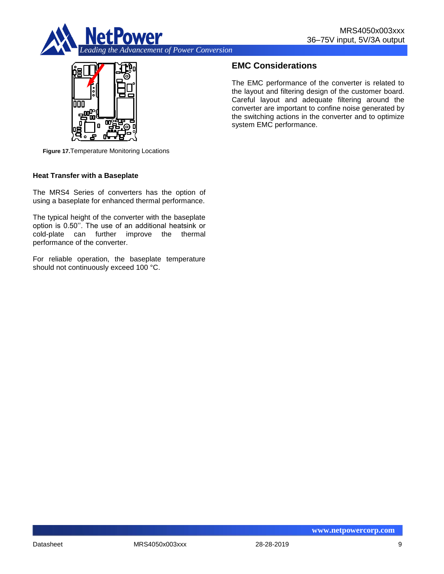



## **EMC Considerations**

The EMC performance of the converter is related to the layout and filtering design of the customer board. Careful layout and adequate filtering around the converter are important to confine noise generated by the switching actions in the converter and to optimize system EMC performance.

**Figure 17.**Temperature Monitoring Locations

#### **Heat Transfer with a Baseplate**

The MRS4 Series of converters has the option of using a baseplate for enhanced thermal performance.

The typical height of the converter with the baseplate option is 0.50''. The use of an additional heatsink or cold-plate can further improve the thermal performance of the converter.

For reliable operation, the baseplate temperature should not continuously exceed 100 °C.